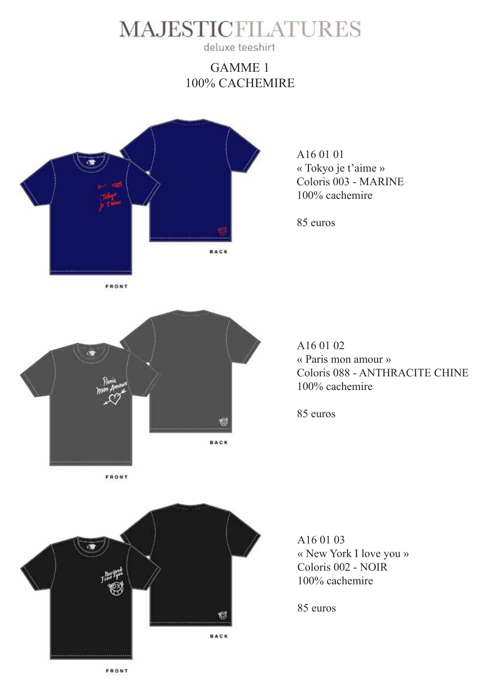

deluxe teeshirt

### GAMME 1 100% CACHEMIRE



A16 01 01 « Tokyo je t'aime » Coloris 003 - MARINE 100% cachemire

85 euros



A16 01 02 « Paris mon amour » Coloris 088 - ANTHRACITE CHINE 100% cachemire

85 euros



A16 01 03 « New York I love you » Coloris 002 - NOIR 100% cachemire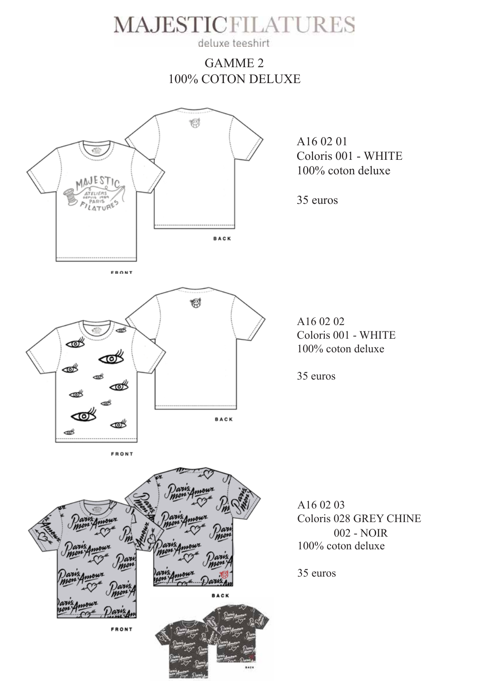

deluxe teeshirt

### GAMME 2 100% COTON DELUXE

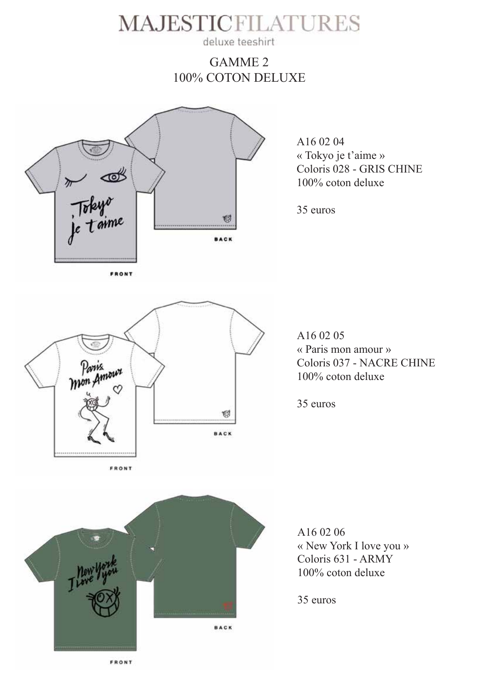deluxe teeshirt

#### GAMME 2 100% COTON DELUXE



A16 02 04 « Tokyo je t'aime » Coloris 028 - GRIS CHINE 100% coton deluxe

35 euros



A16 02 05 « Paris mon amour » Coloris 037 - NACRE CHINE 100% coton deluxe

35 euros



A16 02 06 « New York I love you » Coloris 631 - ARMY 100% coton deluxe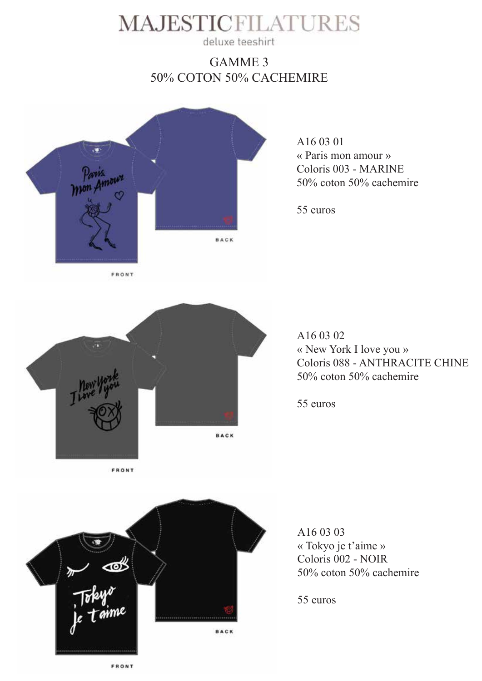deluxe teeshirt

### GAMME 3 50% COTON 50% CACHEMIRE



A16 03 01 « Paris mon amour » Coloris 003 - MARINE 50% coton 50% cachemire

55 euros



A16 03 02 « New York I love you » Coloris 088 - ANTHRACITE CHINE 50% coton 50% cachemire

55 euros



A16 03 03 « Tokyo je t'aime » Coloris 002 - NOIR 50% coton 50% cachemire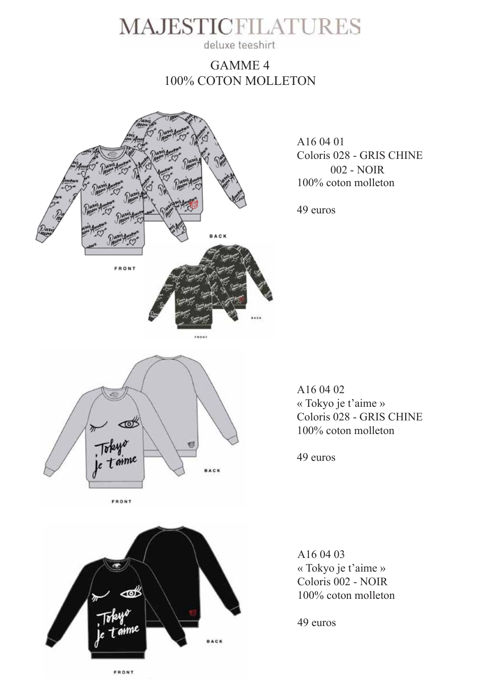deluxe teeshirt

#### GAMME 4 100% COTON MOLLETON



A16 04 01 Coloris 028 - GRIS CHINE 100% coton molleton 002 - NOIR

49 euros



A16 04 02 « Tokyo je t'aime » Coloris 028 - GRIS CHINE 100% coton molleton

49 euros



A16 04 03 « Tokyo je t'aime » Coloris 002 - NOIR 100% coton molleton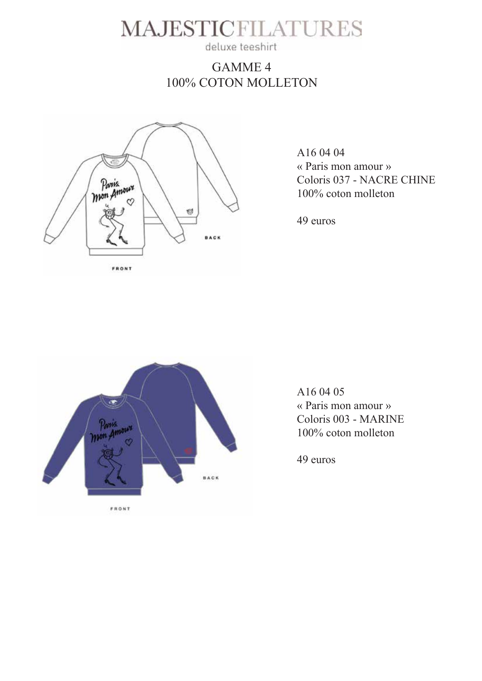deluxe teeshirt

### GAMME 4 100% COTON MOLLETON



A16 04 04 « Paris mon amour » Coloris 037 - NACRE CHINE 100% coton molleton

49 euros



A16 04 05 « Paris mon amour » Coloris 003 - MARINE 100% coton molleton